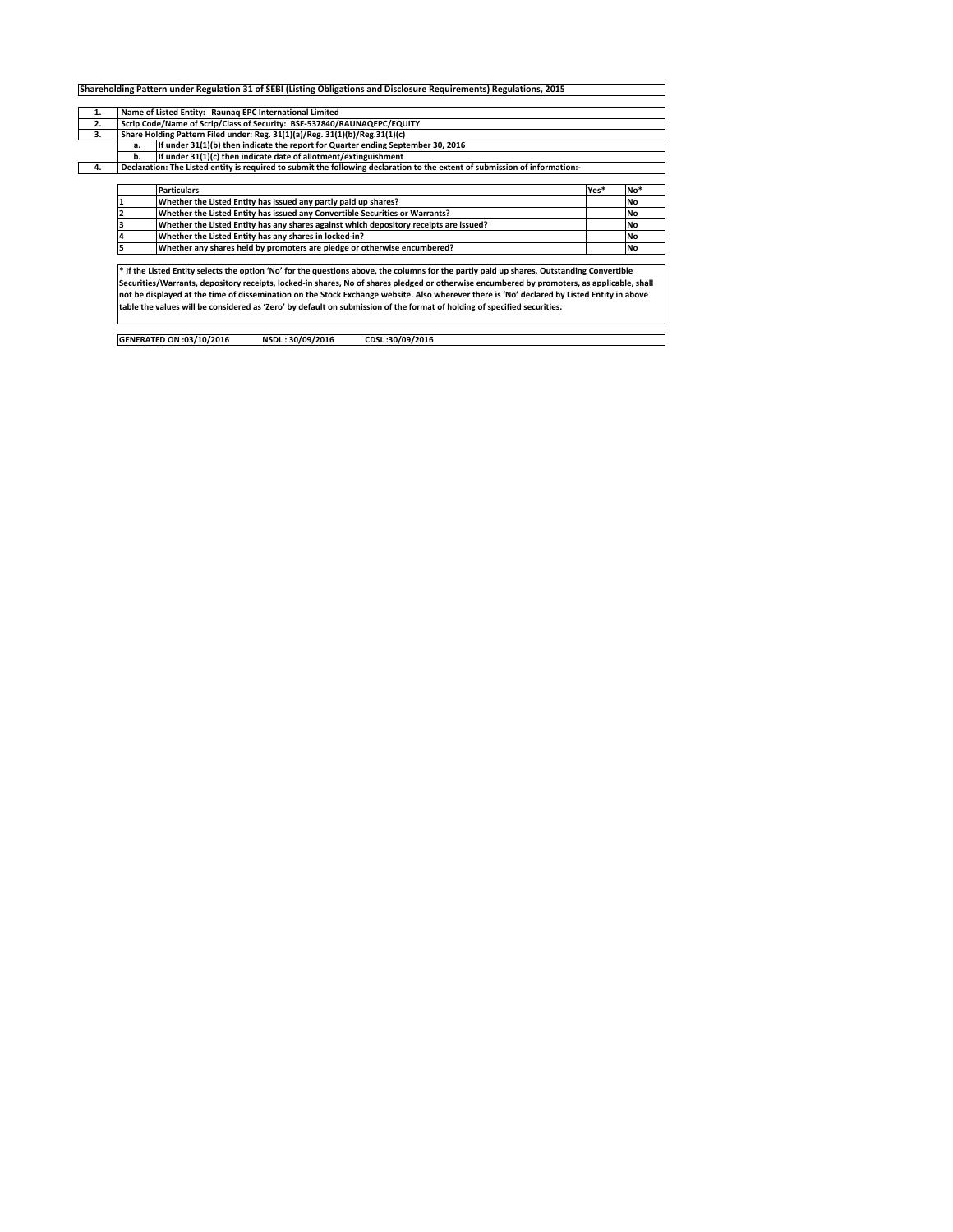| Scrip Code/Name of Scrip/Class of Security: BSE-537840/RAUNAQEPC/EQUITY<br>2.<br>Share Holding Pattern Filed under: Reg. 31(1)(a)/Reg. 31(1)(b)/Reg.31(1)(c)<br>3.<br>If under 31(1)(b) then indicate the report for Quarter ending September 30, 2016<br>а.<br>b.<br>If under 31(1)(c) then indicate date of allotment/extinguishment<br>Declaration: The Listed entity is required to submit the following declaration to the extent of submission of information:-<br>4.<br><b>Particulars</b><br>Yes*<br>Whether the Listed Entity has issued any partly paid up shares?<br><b>No</b><br>Whether the Listed Entity has issued any Convertible Securities or Warrants?<br><b>No</b><br>Whether the Listed Entity has any shares against which depository receipts are issued?<br><b>No</b><br>Whether the Listed Entity has any shares in locked-in?<br><b>No</b><br>Whether any shares held by promoters are pledge or otherwise encumbered?<br><b>No</b> | 1. | Name of Listed Entity: Raunag EPC International Limited |  |     |  |  |  |  |  |  |  |  |
|---------------------------------------------------------------------------------------------------------------------------------------------------------------------------------------------------------------------------------------------------------------------------------------------------------------------------------------------------------------------------------------------------------------------------------------------------------------------------------------------------------------------------------------------------------------------------------------------------------------------------------------------------------------------------------------------------------------------------------------------------------------------------------------------------------------------------------------------------------------------------------------------------------------------------------------------------------------|----|---------------------------------------------------------|--|-----|--|--|--|--|--|--|--|--|
|                                                                                                                                                                                                                                                                                                                                                                                                                                                                                                                                                                                                                                                                                                                                                                                                                                                                                                                                                               |    |                                                         |  |     |  |  |  |  |  |  |  |  |
|                                                                                                                                                                                                                                                                                                                                                                                                                                                                                                                                                                                                                                                                                                                                                                                                                                                                                                                                                               |    |                                                         |  |     |  |  |  |  |  |  |  |  |
|                                                                                                                                                                                                                                                                                                                                                                                                                                                                                                                                                                                                                                                                                                                                                                                                                                                                                                                                                               |    |                                                         |  |     |  |  |  |  |  |  |  |  |
|                                                                                                                                                                                                                                                                                                                                                                                                                                                                                                                                                                                                                                                                                                                                                                                                                                                                                                                                                               |    |                                                         |  |     |  |  |  |  |  |  |  |  |
|                                                                                                                                                                                                                                                                                                                                                                                                                                                                                                                                                                                                                                                                                                                                                                                                                                                                                                                                                               |    |                                                         |  |     |  |  |  |  |  |  |  |  |
|                                                                                                                                                                                                                                                                                                                                                                                                                                                                                                                                                                                                                                                                                                                                                                                                                                                                                                                                                               |    |                                                         |  |     |  |  |  |  |  |  |  |  |
|                                                                                                                                                                                                                                                                                                                                                                                                                                                                                                                                                                                                                                                                                                                                                                                                                                                                                                                                                               |    |                                                         |  | No* |  |  |  |  |  |  |  |  |
|                                                                                                                                                                                                                                                                                                                                                                                                                                                                                                                                                                                                                                                                                                                                                                                                                                                                                                                                                               |    |                                                         |  |     |  |  |  |  |  |  |  |  |
|                                                                                                                                                                                                                                                                                                                                                                                                                                                                                                                                                                                                                                                                                                                                                                                                                                                                                                                                                               |    |                                                         |  |     |  |  |  |  |  |  |  |  |
|                                                                                                                                                                                                                                                                                                                                                                                                                                                                                                                                                                                                                                                                                                                                                                                                                                                                                                                                                               |    |                                                         |  |     |  |  |  |  |  |  |  |  |
|                                                                                                                                                                                                                                                                                                                                                                                                                                                                                                                                                                                                                                                                                                                                                                                                                                                                                                                                                               |    |                                                         |  |     |  |  |  |  |  |  |  |  |
|                                                                                                                                                                                                                                                                                                                                                                                                                                                                                                                                                                                                                                                                                                                                                                                                                                                                                                                                                               |    |                                                         |  |     |  |  |  |  |  |  |  |  |
|                                                                                                                                                                                                                                                                                                                                                                                                                                                                                                                                                                                                                                                                                                                                                                                                                                                                                                                                                               |    |                                                         |  |     |  |  |  |  |  |  |  |  |
|                                                                                                                                                                                                                                                                                                                                                                                                                                                                                                                                                                                                                                                                                                                                                                                                                                                                                                                                                               |    |                                                         |  |     |  |  |  |  |  |  |  |  |
| * If the Listed Entity selects the option 'No' for the questions above, the columns for the partly paid up shares, Outstanding Convertible<br>Securities/Warrants, depository receipts, locked-in shares, No of shares pledged or otherwise encumbered by promoters, as applicable, shall                                                                                                                                                                                                                                                                                                                                                                                                                                                                                                                                                                                                                                                                     |    |                                                         |  |     |  |  |  |  |  |  |  |  |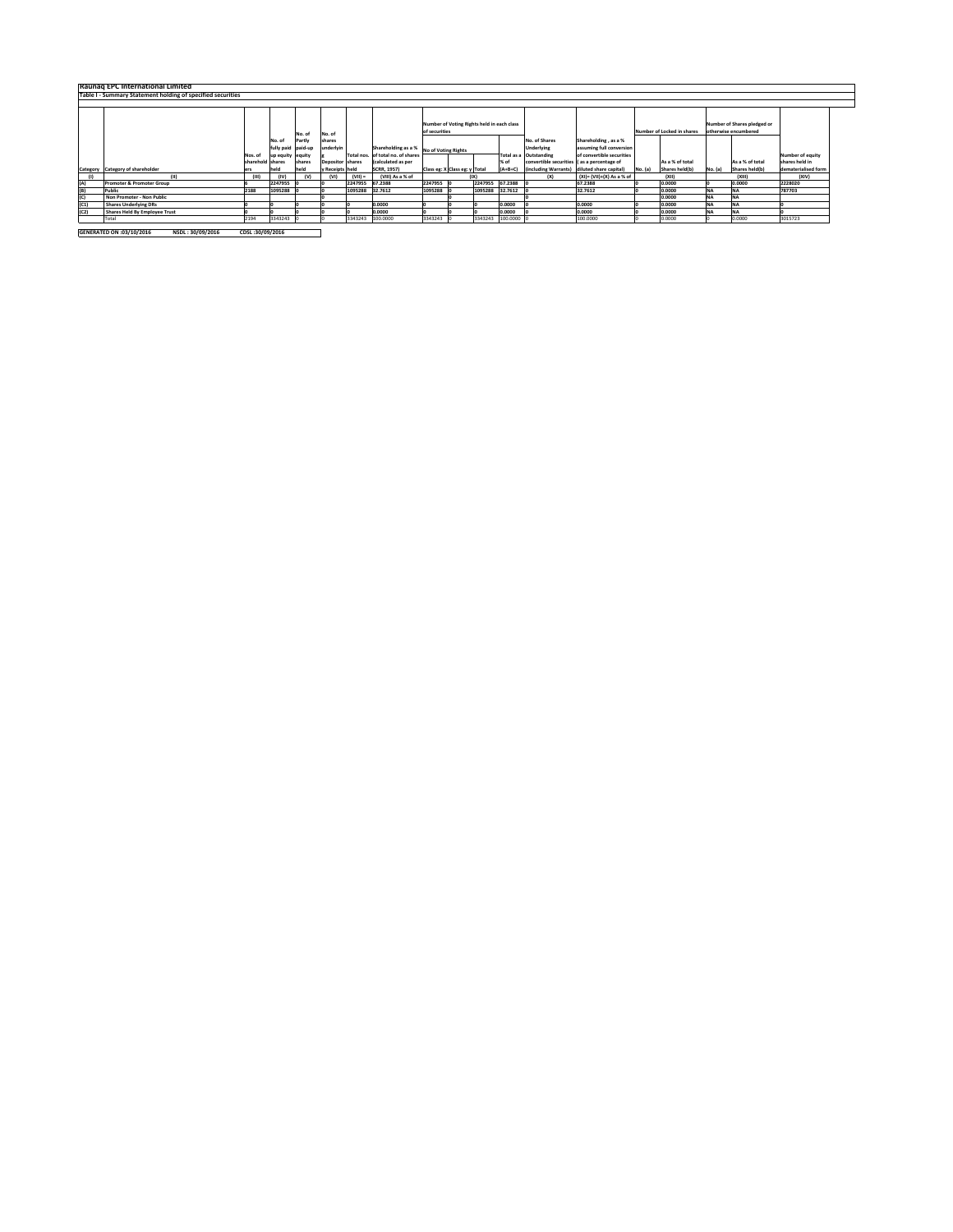|      | Raunag EPC International Limited                            |                  |                    |        |                  |            |                                         |               |                                            |                 |           |                                             |                           |         |                            |           |                             |                     |
|------|-------------------------------------------------------------|------------------|--------------------|--------|------------------|------------|-----------------------------------------|---------------|--------------------------------------------|-----------------|-----------|---------------------------------------------|---------------------------|---------|----------------------------|-----------|-----------------------------|---------------------|
|      | Table I - Summary Statement holding of specified securities |                  |                    |        |                  |            |                                         |               |                                            |                 |           |                                             |                           |         |                            |           |                             |                     |
|      |                                                             |                  |                    |        |                  |            |                                         |               |                                            |                 |           |                                             |                           |         |                            |           |                             |                     |
|      |                                                             |                  |                    |        |                  |            |                                         |               |                                            |                 |           |                                             |                           |         |                            |           |                             |                     |
|      |                                                             |                  |                    |        |                  |            |                                         |               | Number of Voting Rights held in each class |                 |           |                                             |                           |         |                            |           | Number of Shares pledged or |                     |
|      |                                                             |                  |                    | No. of | No. of           |            |                                         | of securities |                                            |                 |           |                                             |                           |         | Number of Locked in shares |           | otherwise encumbered        |                     |
|      |                                                             |                  | No. of             | Partly | shares           |            |                                         |               |                                            |                 |           | No. of Shares                               | Shareholding, as a %      |         |                            |           |                             |                     |
|      |                                                             |                  | fully paid paid-up |        | underlvin        |            | Shareholding as a % No of Voting Rights |               |                                            |                 |           | Underlying                                  | assuming full conversion  |         |                            |           |                             |                     |
|      |                                                             | Nos. of          | up equity equity   |        |                  | Total nos. | of total no, of shares                  |               |                                            |                 |           | Total as a Outstanding                      | of convertible securities |         |                            |           |                             | Number of equity    |
|      |                                                             | sharehold shares |                    | shares | Depositor shares |            | (calculated as per                      |               |                                            |                 | % of      | convertible securities (as a percentage of  |                           |         | As a % of total            |           | As a % of total             | shares held in      |
|      | Category Category of shareholder                            | ers              | held               | held   | y Receipts held  |            | <b>SCRR, 1957)</b>                      |               | Class eg: X Class eg: y Total              |                 | $(A+B+C)$ | (including Warrants) diluted share capital) |                           | No. (a) | Shares held(b)             | No. (a)   | Shares held(b)              | dematerialised form |
|      | (11)                                                        | (III)            | (IV)               | (V)    | (VI)             | $(VIII) =$ | (VIII) As a % of                        |               |                                            |                 |           | (X)                                         | (XI)= (VII)+(X) As a % of |         | (XII)                      |           | (XIII)                      | (XIV)               |
| (A)  | Promoter & Promoter Group                                   |                  | 2247955            |        |                  | 2247955    | 67.2388                                 | 2247955 0     |                                            | 2247955 67.2388 |           |                                             | 67.2388                   |         | 0.0000                     |           | 0.0000                      | 2228020             |
| (B)  | Public                                                      | 2188             | 1095288            |        |                  | 1095288    | 32,7612                                 | 1095288       |                                            | 1095288         | 32,7612   |                                             | 32.7612                   |         | 0.0000                     | <b>NA</b> |                             | 787703              |
| (C)  | Non Promoter - Non Public                                   |                  |                    |        |                  |            |                                         |               |                                            |                 |           |                                             |                           |         | 0.0000                     | <b>NA</b> | <b>NA</b>                   |                     |
| (C1) | <b>Shares Underlying DRs</b>                                |                  |                    |        |                  |            | 0.0000                                  |               |                                            |                 | 0.0000    |                                             | 0.0000                    |         | 0.0000                     | <b>NA</b> | <b>INA</b>                  |                     |
| (C2) | Shares Held By Employee Trust                               |                  |                    |        |                  |            | 0.0000                                  |               |                                            |                 | 0.0000    |                                             | 0.0000                    |         | 0.0000                     | <b>NA</b> | <b>INA</b>                  |                     |
|      | Total                                                       | 2194             | 3343243            |        |                  | 3343243    | 100,0000                                | 3343243       |                                            | 3343243         | 100,0000  |                                             | 100,0000                  |         | 0.0000                     |           | 0.0000                      | 3015723             |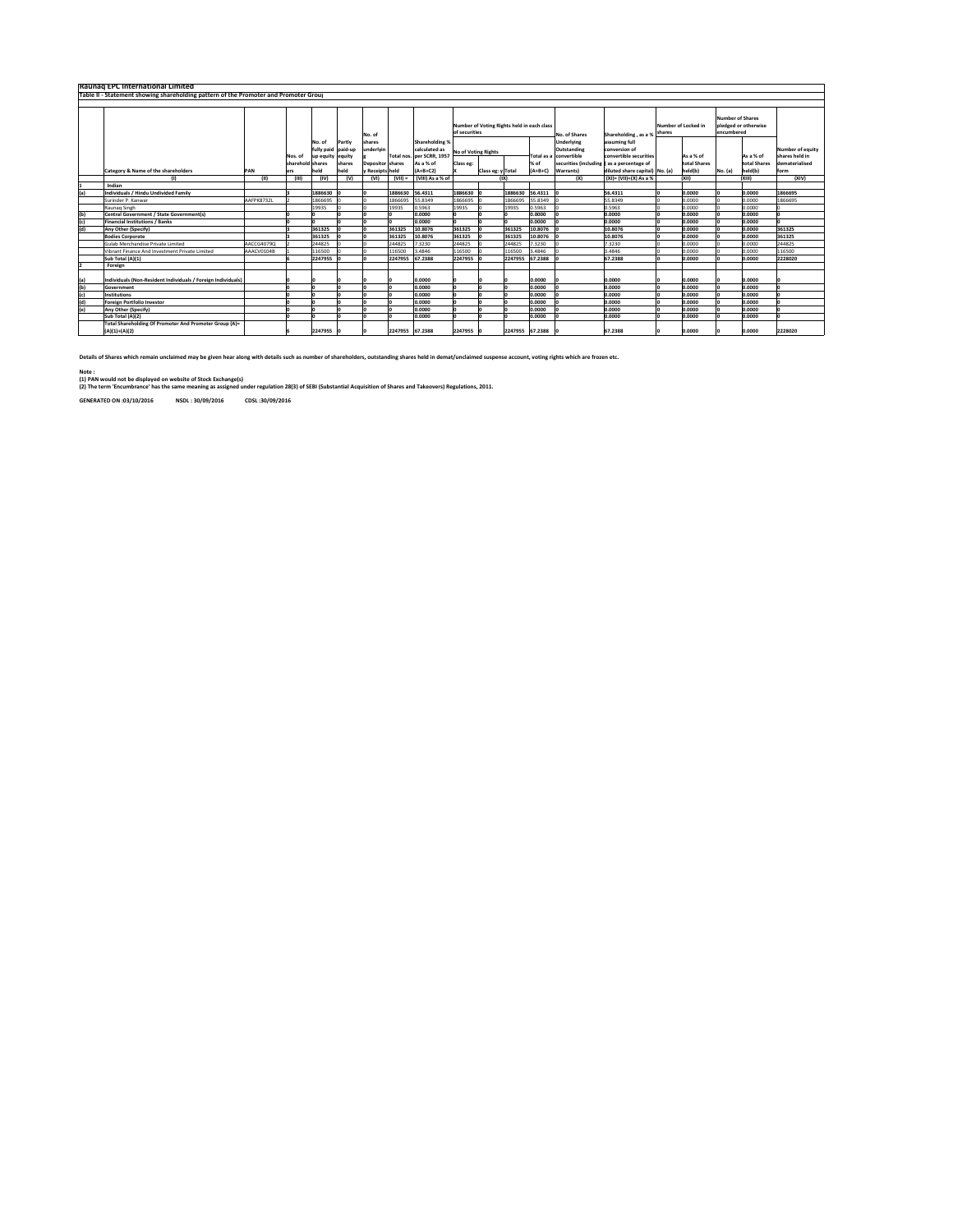|            | Raunag EPC International Limited                                                     |            |                             |                                          |                             |                                                |                 |                                                                           |                                                             |                                    |                 |                                                                                                         |                                                          |                                |                     |                                       |                                                      |         |
|------------|--------------------------------------------------------------------------------------|------------|-----------------------------|------------------------------------------|-----------------------------|------------------------------------------------|-----------------|---------------------------------------------------------------------------|-------------------------------------------------------------|------------------------------------|-----------------|---------------------------------------------------------------------------------------------------------|----------------------------------------------------------|--------------------------------|---------------------|---------------------------------------|------------------------------------------------------|---------|
|            | Table II - Statement showing shareholding pattern of the Promoter and Promoter Group |            |                             |                                          |                             |                                                |                 |                                                                           |                                                             |                                    |                 |                                                                                                         |                                                          |                                |                     |                                       |                                                      |         |
|            |                                                                                      |            |                             |                                          |                             |                                                |                 |                                                                           |                                                             |                                    |                 |                                                                                                         |                                                          |                                |                     |                                       |                                                      |         |
|            |                                                                                      |            |                             |                                          |                             | No. of                                         |                 |                                                                           | Number of Voting Rights held in each class<br>of securities |                                    |                 |                                                                                                         | No. of Shares                                            | Shareholding, as a % shares    | Number of Locked in | <b>Number of Shares</b><br>encumbered | pledged or otherwise                                 |         |
|            |                                                                                      |            | Nos. of<br>sharehold shares | No. of<br>fully paid<br>up equity equity | Partly<br>paid-up<br>shares | shares<br>underlyin<br><b>Depositor shares</b> |                 | Shareholding %<br>calculated as<br>Total nos. per SCRR, 1957<br>As a % of | Class ee:                                                   | <b>No of Voting Rights</b><br>% of |                 | <b>Underlying</b><br>Outstanding<br>Total as a convertible<br>securities (including (as a percentage of | assuming full<br>conversion of<br>convertible securities | As a % of<br>total Shares      |                     | As a % of<br>total Shares             | Number of equity<br>shares held in<br>dematerialised |         |
|            | Category & Name of the shareholders                                                  | PAN        | ers                         | held                                     | held                        | v Receipts held                                |                 | $(A+B+C2)$                                                                |                                                             | Class eg: y Total                  |                 | $(A+B+C)$                                                                                               | <b>Warrants</b>                                          | diluted share capital) No. (a) | held(b)             | No. (a)                               | held(b)                                              | form    |
|            | (I)                                                                                  | (II)       | (III)                       | (IV)                                     | (v)                         | (VI)                                           | $(VIII) =$      | (VIII) As a % of                                                          |                                                             |                                    | ( X )           |                                                                                                         | (X)                                                      | (XI)= (VII)+(X) As a %         | (X  )               |                                       | (XIII)                                               | (XIV)   |
|            | Indian                                                                               |            |                             |                                          |                             |                                                |                 |                                                                           |                                                             |                                    |                 |                                                                                                         |                                                          |                                |                     |                                       |                                                      |         |
| (a)        | Individuals / Hindu Undivided Family                                                 |            |                             | 1886630                                  |                             |                                                | 1886630         | 56,4311                                                                   | 1886630                                                     |                                    | 1886630         | 56.4311                                                                                                 |                                                          | 56.4311                        | 0.0000              |                                       | 0.0000                                               | 1866695 |
|            | Surinder P. Kanwar                                                                   | AAFPK8732L |                             | 1866695                                  |                             |                                                | 1866695         | 55.8349                                                                   | 1866695                                                     |                                    | 1866695         | 55.8349                                                                                                 |                                                          | 55.8349                        | 0.0000              |                                       | 0.0000                                               | 1866695 |
|            | Raunag Singh                                                                         |            |                             | 19935                                    |                             |                                                | 19935           | 0.5963                                                                    | 19935                                                       |                                    | 19935           | 0.5963                                                                                                  |                                                          | 0.5963                         | 0.0000              |                                       | 0.0000                                               |         |
| (b)        | Central Government / State Government(s)                                             |            |                             |                                          |                             |                                                |                 | 0.0000                                                                    |                                                             |                                    |                 | 0.0000                                                                                                  |                                                          | 0.0000                         | 0.0000              |                                       | 0.0000                                               |         |
| (c)        | <b>Financial Institutions / Banks</b>                                                |            |                             |                                          |                             |                                                |                 | 0.0000                                                                    |                                                             |                                    |                 | 0.0000                                                                                                  |                                                          | 0.0000                         | 0.0000              |                                       | 0.0000                                               |         |
| (d)        | <b>Any Other (Specify)</b>                                                           |            |                             | 361325                                   |                             |                                                | 361325          | 10.8076                                                                   | 361325                                                      |                                    | 361325          | 10.8076                                                                                                 |                                                          | 10.8076                        | 0.0000              |                                       | 0.0000                                               | 361325  |
|            | <b>Bodies Corporate</b>                                                              |            |                             | 361325                                   |                             |                                                | 361325          | 10.8076                                                                   | 361325                                                      |                                    | 361325          | 10.8076                                                                                                 |                                                          | 10.8076                        | 0.0000              |                                       | 0.0000                                               | 361325  |
|            | Gulab Merchandise Private Limited                                                    | AACCG4079Q |                             | 244825                                   |                             |                                                | 244825          | 7.3230                                                                    | 244825                                                      |                                    | 244825          | 3230                                                                                                    |                                                          | 7.3230                         | 0.0000              |                                       | 0.0000                                               | 244825  |
|            | Vibrant Finance And Investment Private Limited                                       | AAACV0104B |                             | 116500                                   |                             |                                                | 116500          | 3.4846                                                                    | 116500                                                      |                                    | 116500          | .4846                                                                                                   |                                                          | 3.4846                         | 0.0000              |                                       | 0.0000                                               | 116500  |
|            | Sub Total (A)(1)                                                                     |            |                             | 2247955                                  |                             |                                                | 2247955         | 67.2388                                                                   | 2247955                                                     |                                    | 2247955         | 67.2388                                                                                                 |                                                          | 67.2388                        | 0.0000              |                                       | 0.0000                                               | 2228020 |
|            | Foreign                                                                              |            |                             |                                          |                             |                                                |                 |                                                                           |                                                             |                                    |                 |                                                                                                         |                                                          |                                |                     |                                       |                                                      |         |
| (a)<br>(b) | Individuals (Non-Resident Individuals / Foreign Individuals)<br>Government           |            |                             |                                          |                             |                                                |                 | 0.0000<br>0.0000                                                          |                                                             |                                    |                 | 0.0000<br>0.0000                                                                                        |                                                          | 0.0000<br>0.0000               | 0.0000<br>0.0000    |                                       | 0.0000<br>0.0000                                     |         |
| (c)        | <b>Institutions</b>                                                                  |            |                             |                                          |                             |                                                |                 | 0.0000                                                                    |                                                             |                                    |                 | 0.0000                                                                                                  |                                                          | 0.0000                         | 0.0000              |                                       | 0.0000                                               |         |
| (d)        | <b>Foreign Portfolio Investor</b>                                                    |            |                             |                                          |                             |                                                |                 | 0.0000                                                                    |                                                             |                                    |                 | 0.0000                                                                                                  |                                                          | 0.0000                         | 0.0000              |                                       | 0.0000                                               |         |
| (e)        | <b>Any Other (Specify)</b>                                                           |            |                             |                                          |                             |                                                |                 | 0.0000                                                                    | n                                                           |                                    |                 | 0.0000                                                                                                  |                                                          | 0.0000                         | 0.0000              |                                       | 0.0000                                               |         |
|            | Sub Total (A)(2)                                                                     |            |                             |                                          |                             |                                                |                 | 0.0000                                                                    |                                                             |                                    |                 | 0.0000                                                                                                  |                                                          | 0.0000                         | 0.0000              |                                       | 0.0000                                               |         |
|            | Total Shareholding Of Promoter And Promoter Group (A)=                               |            |                             |                                          |                             |                                                |                 |                                                                           |                                                             |                                    |                 |                                                                                                         |                                                          |                                |                     |                                       |                                                      |         |
|            | $(A)(1)+(A)(2)$                                                                      |            |                             | 2247955                                  |                             |                                                | 2247955 67.2388 |                                                                           | 2247955                                                     |                                    | 2247955 67,2388 |                                                                                                         |                                                          | 67.2388                        | 0.0000              |                                       | 0.0000                                               | 2228020 |

Details of Shares which remain unclaimed may be given hear along with details such as number of shareholders, outstanding shares held in demat/unclaimed suspense account, voting rights which are frozen etc.

Note :

(1) PAN would not be displayed on website of Stock Exchange(s) (2) The term 'Encumbrance' has the same meaning as assigned under regulation 28(3) of SEBI (Substantial Acquisition of Shares and Takeovers) Regulations, 2011.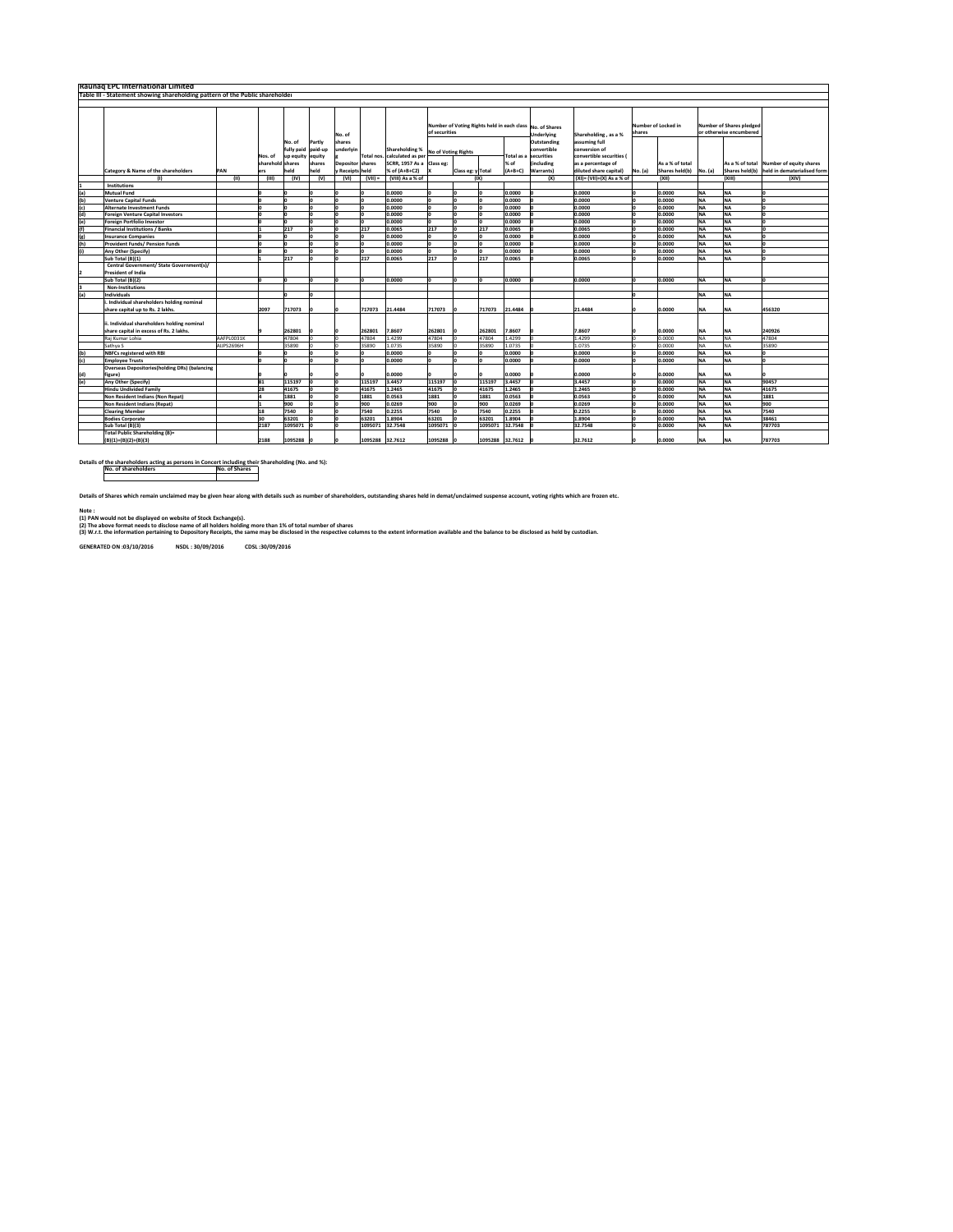|            | <b>Raunag EPC International Limited</b>                                      |             |                |                     |            |                  |           |                           |                            |                                                          |                 |           |                       |                                                        |          |                         |           |                                 |                                         |
|------------|------------------------------------------------------------------------------|-------------|----------------|---------------------|------------|------------------|-----------|---------------------------|----------------------------|----------------------------------------------------------|-----------------|-----------|-----------------------|--------------------------------------------------------|----------|-------------------------|-----------|---------------------------------|-----------------------------------------|
|            | Table III - Statement showing shareholding pattern of the Public shareholder |             |                |                     |            |                  |           |                           |                            |                                                          |                 |           |                       |                                                        |          |                         |           |                                 |                                         |
|            |                                                                              |             |                |                     |            |                  |           |                           |                            |                                                          |                 |           |                       |                                                        |          |                         |           |                                 |                                         |
|            |                                                                              |             |                |                     |            |                  |           |                           |                            |                                                          |                 |           |                       |                                                        |          |                         |           |                                 |                                         |
|            |                                                                              |             |                |                     |            |                  |           |                           |                            |                                                          |                 |           |                       |                                                        |          |                         |           |                                 |                                         |
|            |                                                                              |             |                |                     |            |                  |           |                           |                            | Number of Voting Rights held in each class No. of Shares |                 |           |                       |                                                        |          | Number of Locked in     |           | <b>Number of Shares pledged</b> |                                         |
|            |                                                                              |             |                |                     |            | No. of           |           |                           |                            | of securities                                            |                 |           | <b>Underlying</b>     | Shareholding, as a %                                   | shares   |                         |           | or otherwise encumbered         |                                         |
|            |                                                                              |             |                | No. of              | Partly     | shares           |           |                           |                            |                                                          |                 |           | Outstanding           | assuming full                                          |          |                         |           |                                 |                                         |
|            |                                                                              |             |                | fully paid          | paid-up    | underlvin        |           | Shareholding %            |                            |                                                          |                 |           | convertible           | conversion of                                          |          |                         |           |                                 |                                         |
|            |                                                                              |             | Nos. of        |                     |            |                  | Total nos | calculated as per         | <b>No of Voting Rights</b> |                                                          |                 |           | Total as a securities | convertible securities                                 |          |                         |           |                                 |                                         |
|            |                                                                              |             | sharehold      | up equity<br>shares | equity     |                  | hares     | SCRR, 1957 As a Class eg: |                            |                                                          |                 | % of      | including             |                                                        |          | As a % of total         |           |                                 | As a % of total Number of equity shares |
|            |                                                                              |             |                |                     | shares     | Depositor        | eld       | % of (A+B+C2)             |                            |                                                          |                 |           |                       | as a percentage of                                     |          |                         |           |                                 |                                         |
|            | Category & Name of the shareholders                                          | PAN<br>(II) | ers<br>(III)   | held<br>(IV)        | eld<br>(V) | Receipts<br>(VI) | $(VII) =$ | (VIII) As a % of          |                            | Class eg: y Total                                        | (IX)            | $(A+B+C)$ | Warrants)             | diluted share capital)<br>$(XI) = (VII)+(X)$ As a % of | No. (a)  | Shares held(b)<br>(XII) | No. (a)   | Shares held(b)<br>(XIII)        | held in dematerialised form<br>(XIV)    |
|            | (1)<br>Institutions                                                          |             |                |                     |            |                  |           |                           |                            |                                                          |                 |           | (X)                   |                                                        |          |                         |           |                                 |                                         |
| (a)        | <b>Mutual Fund</b>                                                           |             | ln.            |                     |            |                  |           | 0.0000                    | ln.                        |                                                          |                 | 0.0000    |                       | 0.0000                                                 |          | 0.0000                  | <b>NA</b> | <b>NA</b>                       |                                         |
| (b)        | <b>Venture Capital Funds</b>                                                 |             | In             |                     |            |                  |           | 0.0000                    | ln                         |                                                          |                 | 0.0000    |                       | 0.0000                                                 |          | 0.0000                  | <b>NA</b> | <b>NA</b>                       | lո                                      |
| (c)        | <b>Alternate Investment Funds</b>                                            |             | In             |                     |            |                  |           | 0.0000                    |                            |                                                          |                 | 0.0000    |                       | 0.0000                                                 |          | 0.0000                  | <b>NA</b> | <b>NA</b>                       | ln                                      |
| (d)        | <b>Foreign Venture Capital Investors</b>                                     |             | In             |                     |            |                  |           | 0.0000                    | ln.                        |                                                          |                 | 0.0000    |                       | 0.0000                                                 | n        | 0.0000                  | <b>NA</b> | <b>NA</b>                       | l٥                                      |
| (e)        | <b>Foreign Portfolio Investor</b>                                            |             | I۵             | n                   |            |                  |           | 0.0000                    | ln.                        |                                                          |                 | 0.0000    |                       | 0.0000                                                 | <b>n</b> | 0.0000                  | <b>NA</b> | <b>NA</b>                       | ln                                      |
| (f)        | <b>Financial Institutions / Banks</b>                                        |             | lı.            | 217                 |            |                  | 217       | 0.0065                    | 217                        |                                                          | 217             | 0.0065    |                       | 0.0065                                                 | n        | 0.0000                  | <b>NA</b> | <b>NA</b>                       | I٥                                      |
|            | <b>Insurance Companies</b>                                                   |             | l٥             | n                   |            |                  |           | 0.0000                    | ln.                        |                                                          |                 | 0.0000    |                       | 0.0000                                                 |          | 0.0000                  | <b>NA</b> | <b>NA</b>                       | l٥                                      |
| (g)<br>(h) | <b>Provident Funds/ Pension Funds</b>                                        |             | lo             | l۵                  |            |                  |           | 0.0000                    | I٥                         |                                                          |                 | 0.0000    |                       | 0.0000                                                 | n        | 0.0000                  | <b>NA</b> | <b>NA</b>                       | l٥                                      |
|            |                                                                              |             | l٥             | <b>n</b>            |            |                  |           |                           | ln.                        |                                                          |                 |           |                       |                                                        |          |                         |           |                                 | lo                                      |
|            | Any Other (Specify)                                                          |             | lı.            |                     |            |                  |           | 0.0000                    | 217                        |                                                          |                 | 0.0000    |                       | 0.0000                                                 |          | 0.0000                  | <b>NA</b> | <b>NA</b>                       | I∩                                      |
|            | Sub Total (B)(1)                                                             |             |                | 217                 |            |                  | 217       | 0.0065                    |                            |                                                          | 217             | 0.0065    |                       | 0.0065                                                 |          | 0.0000                  | <b>NA</b> | <b>NA</b>                       |                                         |
|            | Central Government/ State Government(s)/                                     |             |                |                     |            |                  |           |                           |                            |                                                          |                 |           |                       |                                                        |          |                         |           |                                 |                                         |
|            | <b>President of India</b>                                                    |             |                |                     |            |                  |           |                           |                            |                                                          |                 |           |                       |                                                        |          |                         |           |                                 |                                         |
|            | Sub Total (B)(2)                                                             |             | In             |                     | l٥         |                  |           | 0.0000                    |                            |                                                          |                 | 0.0000    |                       | 0.0000                                                 |          | 0.0000                  | <b>NA</b> | <b>NA</b>                       |                                         |
|            | Non-Institutions                                                             |             |                |                     |            |                  |           |                           |                            |                                                          |                 |           |                       |                                                        |          |                         |           |                                 |                                         |
| (a)        | Individuals                                                                  |             |                |                     |            |                  |           |                           |                            |                                                          |                 |           |                       |                                                        |          |                         | <b>NA</b> | <b>NA</b>                       |                                         |
|            | i. Individual shareholders holding nominal                                   |             |                |                     |            |                  |           |                           |                            |                                                          |                 |           |                       |                                                        |          |                         |           |                                 |                                         |
|            | share capital up to Rs. 2 lakhs.                                             |             | 2097           | 717073              |            |                  | 17073     | 21.4484                   | 717073                     |                                                          | 717073          | 21,4484   |                       | 21.4484                                                |          | 0.0000                  | <b>NA</b> |                                 | 456320                                  |
|            |                                                                              |             |                |                     |            |                  |           |                           |                            |                                                          |                 |           |                       |                                                        |          |                         |           |                                 |                                         |
|            | ii. Individual shareholders holding nominal                                  |             |                |                     |            |                  |           |                           |                            |                                                          |                 |           |                       |                                                        |          |                         |           |                                 |                                         |
|            | share capital in excess of Rs. 2 lakhs.                                      |             |                | 262801              |            |                  | 262801    | 7.8607                    | 262801                     |                                                          | 262801          | 7.8607    |                       | 7.8607                                                 |          | 0.0000                  | <b>NA</b> |                                 | 240926                                  |
|            | Rai Kumar Lohia                                                              | AAFPL0031K  |                | 47804               |            |                  | 17804     | 1.4299                    | 47804                      |                                                          | 47804           | 1.4299    |                       | 1.4299                                                 |          | 0.0000                  | <b>NA</b> |                                 | 47804                                   |
|            | Sathya S                                                                     | AUPS2696H   |                | 35890               |            |                  | 35890     | 1.0735                    | 35890                      |                                                          | 35890           | 1.0735    |                       | 1.0735                                                 |          | 0.0000                  | <b>NA</b> | NA                              | 35890                                   |
| (b)        | <b>NBFCs registered with RBI</b>                                             |             |                |                     |            |                  |           | 0.0000                    |                            |                                                          |                 | 0.0000    |                       | 0.0000                                                 |          | 0.0000                  | <b>NA</b> | <b>NA</b>                       |                                         |
| (c)        | <b>Employee Trusts</b>                                                       |             |                |                     |            |                  |           | 0.0000                    | ln.                        |                                                          |                 | 0.0000    |                       | 0.0000                                                 |          | 0.0000                  | <b>NA</b> | NΔ                              |                                         |
|            | <b>Overseas Depositories(holding DRs) (balancing</b>                         |             |                |                     |            |                  |           |                           |                            |                                                          |                 |           |                       |                                                        |          |                         |           |                                 |                                         |
| (d)        | figure)                                                                      |             |                |                     |            |                  |           | 0.0000                    |                            |                                                          |                 | 0000.0    |                       | 0.0000                                                 |          | 0.0000                  | <b>NA</b> | <b>NA</b>                       |                                         |
| (e)        | Any Other (Specify)                                                          |             | 81             | 115197              |            |                  | 115197    | 3.4457                    | 115197                     |                                                          | 115197          | 3.4457    |                       | 3.4457                                                 |          | 0.0000                  | <b>NA</b> | <b>NA</b>                       | 90457                                   |
|            | <b>Hindu Undivided Family</b>                                                |             | 28             | 41675               |            |                  | 41675     | 1.2465                    | 41675                      |                                                          | 41675           | 1.2465    |                       | 1.2465                                                 |          | 0.0000                  | <b>NA</b> | <b>NA</b>                       | 41675                                   |
|            | Non Resident Indians (Non Repat)                                             |             | $\overline{a}$ | 1881                |            |                  | 1881      | 0.0563                    | 1881                       |                                                          | 1881            | 0.0563    |                       | 0.0563                                                 | n        | 0.0000                  | <b>NA</b> | <b>NA</b>                       | 1881                                    |
|            | <b>Non Resident Indians (Repat)</b>                                          |             | Iı.            | 900                 |            |                  | 900       | 0.0269                    | 900                        |                                                          | 900             | 0.0269    |                       | 0.0269                                                 | n        | 0.0000                  | <b>NA</b> | <b>NA</b>                       | 900                                     |
|            | <b>Clearing Member</b>                                                       |             | 18             | 7540                |            | O                | 7540      | 0.2255                    | 7540                       |                                                          | 7540            | 0.2255    |                       | 0.2255                                                 | n        | 0.0000                  | <b>NA</b> | <b>NA</b>                       | 7540                                    |
|            | <b>Bodies Corporate</b>                                                      |             | 30             | 63201               |            | ln.              | 63201     | 1.8904                    | 63201                      |                                                          | 63201           | 1,8904    |                       | 1.8904                                                 | $\Omega$ | 0.0000                  | <b>NA</b> | <b>NA</b>                       | 38461                                   |
|            | Sub Total (B)(3)                                                             |             | 2187           | 1095071             |            | I۵               | 1095071   | 32.7548                   | 1095071                    |                                                          | 1095071         | 32.7548   |                       | 32.7548                                                |          | 0.0000                  | <b>NA</b> | <b>NA</b>                       | 787703                                  |
|            | Total Public Shareholding (B)=                                               |             |                |                     |            |                  |           |                           |                            |                                                          |                 |           |                       |                                                        |          |                         |           |                                 |                                         |
|            | $(B)(1)+(B)(2)+(B)(3)$                                                       |             | 2188           | 1095288             |            |                  | 1095288   | 32.7612                   | 1095288                    |                                                          | 1095288 32.7612 |           |                       | 32.7612                                                |          | 0.0000                  | <b>NA</b> | NΔ                              | 787703                                  |

Details of the shareholders acting as persons in Concert including their Shareholding (No. and %):<br>No. of Shares

Details of Shares which remain unclaimed may be given hear along with details such as number of shareholders, outstanding shares held in demat/unclaimed suspense account, voting rights which are frozen etc.

Note : (1) PAN would not be displayed on website of Stock Exchange(s).

(2) The above format needs to disclose name of all holders holding more than 1% of total number of shares<br>(3) W.r.t. the information pertaining to Depository Receipts, the same may be disclosed in the respective columns to